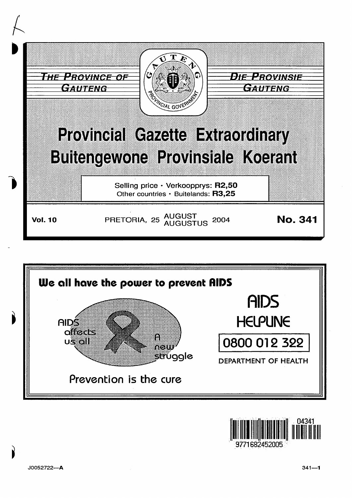





9771682452005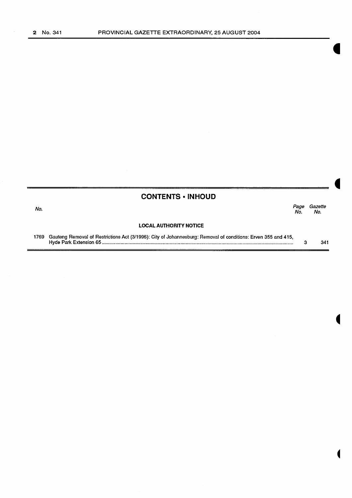Ξ

|      | <b>CONTENTS • INHOUD</b>                                                                                      |             |                |
|------|---------------------------------------------------------------------------------------------------------------|-------------|----------------|
| No.  |                                                                                                               | Page<br>No. | Gazette<br>No. |
|      | <b>LOCAL AUTHORITY NOTICE</b>                                                                                 |             |                |
| 1769 | Gauteng Removal of Restrictions Act (3/1996): City of Johannesburg: Removal of conditions: Erven 355 and 415, |             | 341            |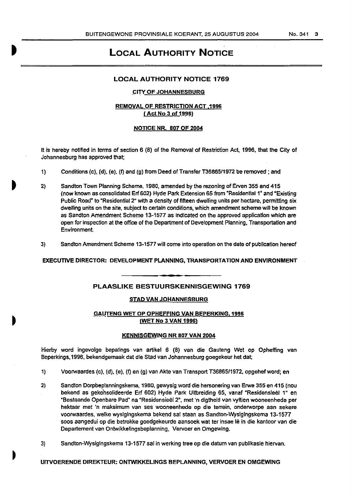# LOCAL AUTHORITY NOTICE

#### LOCAL AUTHORITY NOTICE 1769

#### .CITY OF JOHANNESBURG

# REMOVAL OF RESTRICTION ACT, 1996 (Act No 3 of 1996)

## NOTICE NR. 807 OF 2004

It is hereby notified in terms of section 6 (8) of the Removal of Restriction Act, 1996, that the City of Johannesburg has approved that;

- 1) Conditions (c), (d), (e), (f) and (g) from Deed of Transfer T36865/1972 be removed ; and
- 2) Sandton Town Planning Scheme, 1980, amended by the rezoning of Erven 355 and 415 (now known as consolidated Erf 602) Hyde Park Extension 65 from "Residential 1" and "Existing Public Road" to "Residential 2" with a density of fifteen dwelling units per hectare, permitting six dwelling units on the site, subject to certain conditions, which amendment scheme will be known as Sandton Amendment Scheme 13-1577 as Indicated on the approved application which are open for inspection at the office of the Department of Development Planning, Transportation and Environment.
- 3) Sandton Amendment Scheme 13-1577 will come into operation on the date of publication hereof

#### EXECUTIVE DIRECTOR: DEVELOPMENT PLANNING, TRANSPORTATION AND ENVIRONMENT

# PLAASLIKE BESTUURSKENNISGEWING 1769

#### STAD VAN JOHANNESBURG

## GAUTENG WET OP OPHEFFING VAN BEPERKING, 1996 (WET No 3 VAN 1996)

#### KENNISGEWING NR 807 VAN 2004

Hierby word ingevolge bepallngs van artikel 6 (8) van die Gauteng Wet op Opheffing van Beperkings, 1996, bekendgemaak dat die Stad van Johannesburg goegekeur het dat;

- 1) Voorwaardes (c), (d), (e), (t) en (g) van Akte van Transport T36865/1972, opgehefword; en
- 2) Sandton Dorpbeplanningskema, 1980, gewysig word die hersonering van Erwe 355 en 415 (nou bekend as gekohsolideerde Erf 602) Hyde Park Ultbreiding 65, vanaf "Residensleel 1" en ·sestaande Openbare Pad" na "ResidensieeJ 2", met 'n dlgtheid van vyftien wooneenhede per hektaar met 'n maksimum van ses wooneenhede op die terrain, onderworpe aan sekere voorwaardes, welke wyslgingskema bekend sal staan as Sandton-Wysiglngskema 13-1577 soos aangedui op die betrokke goedgekeurde aansoek wat ter insae le in die kantoor van die Departement van Ontwikkelingsbeplanning, Vervoer en Omgewing.
- 3) Sandton-Wysigingskema 13-1577 sal in werking tree op die datum van publikasle hiervan.

#### UITVOERENDE DIREKTEUR: ONTWIKKELINGS BEPLANNING, VERVOER EN OMGEWING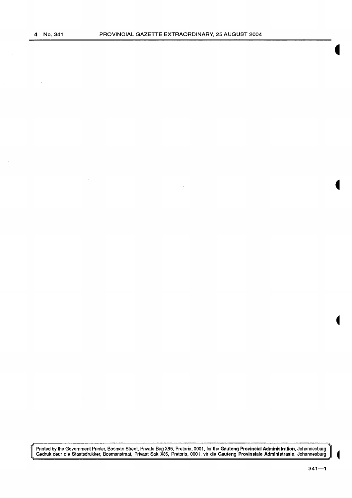Printed by the Government Printer, Bosman Street, Private Bag X85, Pretoria, 0001, for the Gauteng Provincial Administration, Johannesburg Gedruk deur die Staatsdrukker, Bosmanstraat, Privaat Sak X85, Pretoria, 0001, vir die Gauteng Provinsiale Administrasie, Johannesburg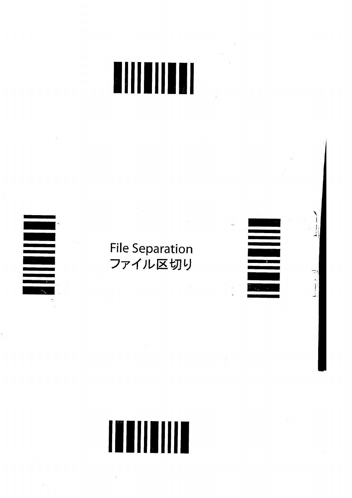



# **File Separation** ファイル区切り



 $\begin{array}{c} \mathbf{1} \mathbf{3} \\ \mathbf{4} \end{array}$ 

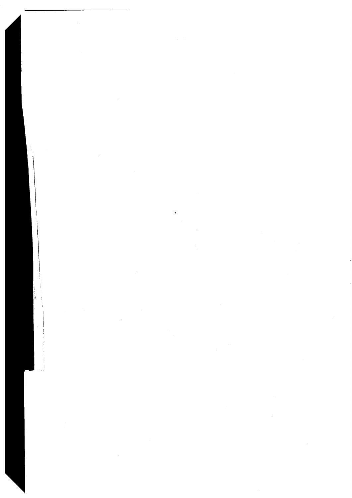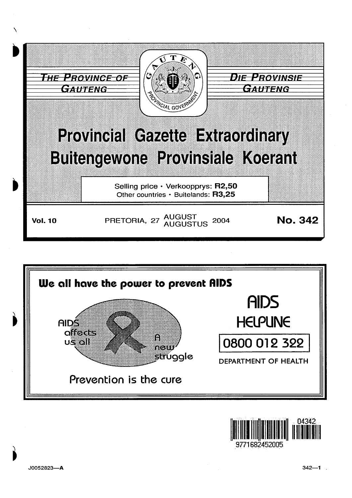





9771682452005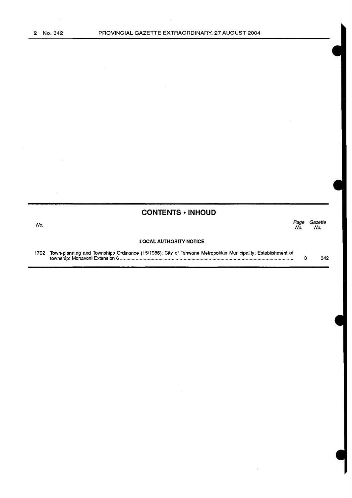÷.

|      | <b>CONTENTS • INHOUD</b>                                                                                     |             |                |
|------|--------------------------------------------------------------------------------------------------------------|-------------|----------------|
| No.  |                                                                                                              | Page<br>No. | Gazette<br>No. |
|      | <b>LOCAL AUTHORITY NOTICE</b>                                                                                |             |                |
| 1762 | Town-planning and Townships Ordinance (15/1986): City of Tshwane Metropolitan Municipality: Establishment of |             | 342            |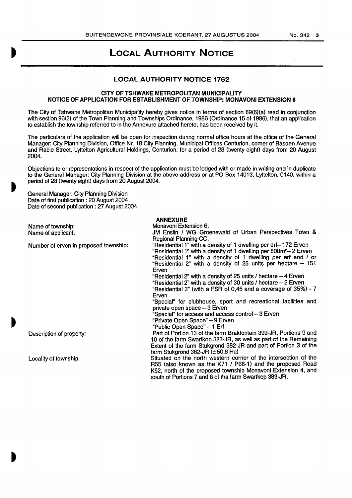# LOCAL AUTHORITY NOTICE

# LOCAL AUTHORITY NOTICE 1762

#### CITY OF TSHWANE METROPOLITAN MUNICIPALITY NOTICE OF APPLICATION FOR ESTABLISHMENT OF TOWNSHIP: MONAVONI EXTENSION 6

The City of Tshwane Metropolitan Municipality hereby gives notice in terms of section 69(6)(a) read in conjunction with section 96(3) of the Town Planning and Townships Ordinance, 1986 (Ordinance 15 of 1986), that an application to establish the township referred to in the Annexure attached hereto, has been received by it.

The particulars of the application will be open for inspection during normal office hours at the office of the General Manager: City Planning Division, Office Nr. 18 City Planning, Municipal Offices Centurion, comer of Basden Avenue and Rabie Street, Lyttelton Agricultural Holdings, Centurion, for a period of 28 (twenty eight) days from 20 August 2004.

Objections to or representations in respect of the application must be lodged with or made in writing and in duplicate to the General Manager: City Planning Division at the above address or at PO Box 14013, Lyttelton, 0140, within a period of 28 (twenty eight) days from 20 August 2004.

General Manager: City Planning Division Date of first publication : 20 August 2004 Date of second publication : 27 August 2004

|                                       | <b>ANNEXURE</b>                                                             |
|---------------------------------------|-----------------------------------------------------------------------------|
| Name of township:                     | Monavoni Extension 6.                                                       |
| Name of applicant:                    | JM Enslin / WG Groenewald of Urban Perspectives Town &                      |
|                                       | Regional Planning CC.                                                       |
| Number of erven in proposed township: | "Residential 1" with a density of 1 dwelling per erf-172 Erven              |
|                                       | "Residential 1" with a density of 1 dwelling per 800m <sup>2</sup> -2 Erven |
|                                       | "Residential 1" with a density of 1 dwelling per erf and / or               |
|                                       | "Residential 2" with a density of 25 units per hectare - 151                |
|                                       | Erven                                                                       |
|                                       | "Residential 2" with a density of 25 units / hectare $-4$ Erven             |
|                                       | "Residential 2" with a density of 30 units / hectare $-2$ Erven             |
|                                       | "Residential 3" (with a FSR of 0.45 and a coverage of $35\%$ ) - 7          |
|                                       | Erven                                                                       |
|                                       | "Special" for clubhouse, sport and recreational facilities and              |
|                                       | private open space - 3 Erven                                                |
|                                       | "Special" for access and access control - 3 Erven                           |
|                                       | "Private Open Space" - 9 Erven                                              |
|                                       | "Public Open Space" - 1 Erf                                                 |
| Description of property:              | Part of Portion 13 of the farm Brakfontein 399-JR, Portions 9 and           |
|                                       | 10 of the farm Swartkop 383-JR, as well as part of the Remaining            |
|                                       | Extent of the farm Stukgrond 382-JR and part of Portion 3 of the            |
|                                       | farm Stukgrond 382-JR $(\pm 50.8$ Ha)                                       |
| Locality of township:                 | Situated on the north western corner of the intersection of the             |
|                                       | R55 (also known as the K71 / P66-1) and the proposed Road                   |
|                                       | K52, north of the proposed township Monavoni Extension 4, and               |
|                                       | south of Portions 7 and 8 of tha farm Swartkop 383-JR.                      |